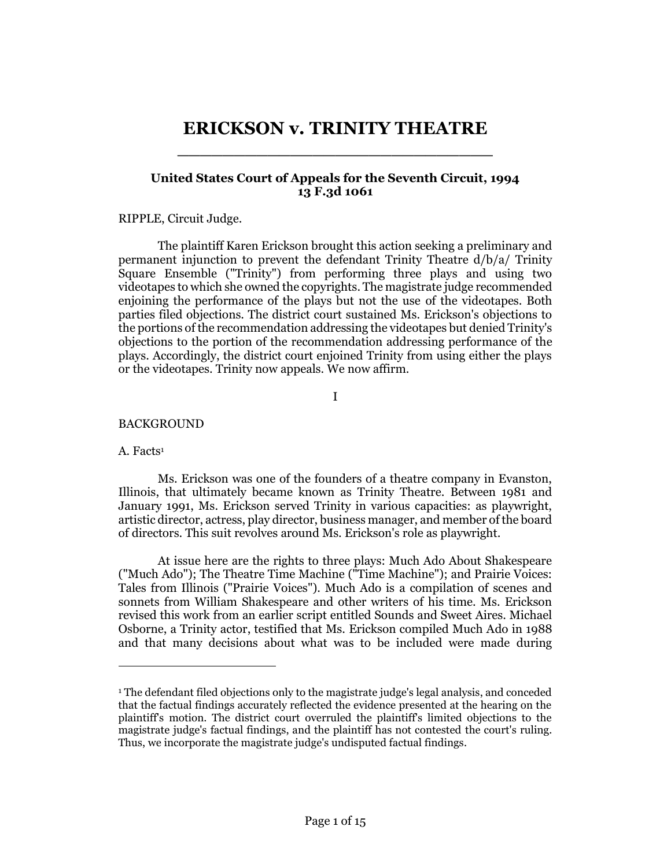# **ERICKSON v. TRINITY THEATRE** \_\_\_\_\_\_\_\_\_\_\_\_\_\_\_\_\_\_\_\_\_\_\_\_\_\_\_\_

# **United States Court of Appeals for the Seventh Circuit, 1994 13 F.3d 1061**

## RIPPLE, Circuit Judge.

The plaintiff Karen Erickson brought this action seeking a preliminary and permanent injunction to prevent the defendant Trinity Theatre d/b/a/ Trinity Square Ensemble ("Trinity") from performing three plays and using two videotapes to which she owned the copyrights. The magistrate judge recommended enjoining the performance of the plays but not the use of the videotapes. Both parties filed objections. The district court sustained Ms. Erickson's objections to the portions of the recommendation addressing the videotapes but denied Trinity's objections to the portion of the recommendation addressing performance of the plays. Accordingly, the district court enjoined Trinity from using either the plays or the videotapes. Trinity now appeals. We now affirm.

I

#### BACKGROUND

#### A. Facts<sup>1</sup>

 $\overline{a}$ 

Ms. Erickson was one of the founders of a theatre company in Evanston, Illinois, that ultimately became known as Trinity Theatre. Between 1981 and January 1991, Ms. Erickson served Trinity in various capacities: as playwright, artistic director, actress, play director, business manager, and member of the board of directors. This suit revolves around Ms. Erickson's role as playwright.

At issue here are the rights to three plays: Much Ado About Shakespeare ("Much Ado"); The Theatre Time Machine ("Time Machine"); and Prairie Voices: Tales from Illinois ("Prairie Voices"). Much Ado is a compilation of scenes and sonnets from William Shakespeare and other writers of his time. Ms. Erickson revised this work from an earlier script entitled Sounds and Sweet Aires. Michael Osborne, a Trinity actor, testified that Ms. Erickson compiled Much Ado in 1988 and that many decisions about what was to be included were made during

<sup>&</sup>lt;sup>1</sup> The defendant filed objections only to the magistrate judge's legal analysis, and conceded that the factual findings accurately reflected the evidence presented at the hearing on the plaintiff's motion. The district court overruled the plaintiff's limited objections to the magistrate judge's factual findings, and the plaintiff has not contested the court's ruling. Thus, we incorporate the magistrate judge's undisputed factual findings.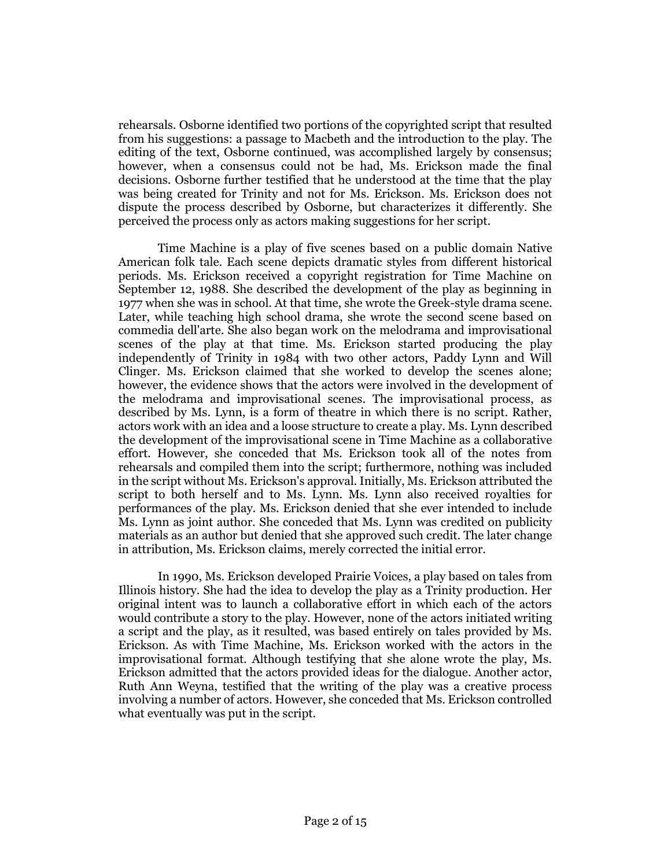rehearsals. Osborne identified two portions of the copyrighted script that resulted from his suggestions: a passage to Macbeth and the introduction to the play. The editing of the text, Osborne continued, was accomplished largely by consensus; however, when a consensus could not be had, Ms. Erickson made the final decisions. Osborne further testified that he understood at the time that the play was being created for Trinity and not for Ms. Erickson. Ms. Erickson does not dispute the process described by Osborne, but characterizes it differently. She perceived the process only as actors making suggestions for her script.

Time Machine is a play of five scenes based on a public domain Native American folk tale. Each scene depicts dramatic styles from different historical periods. Ms. Erickson received a copyright registration for Time Machine on September 12, 1988. She described the development of the play as beginning in 1977 when she was in school. At that time, she wrote the Greek-style drama scene. Later, while teaching high school drama, she wrote the second scene based on commedia dell'arte. She also began work on the melodrama and improvisational scenes of the play at that time. Ms. Erickson started producing the play independently of Trinity in 1984 with two other actors, Paddy Lynn and Will Clinger. Ms. Erickson claimed that she worked to develop the scenes alone; however, the evidence shows that the actors were involved in the development of the melodrama and improvisational scenes. The improvisational process, as described by Ms. Lynn, is a form of theatre in which there is no script. Rather, actors work with an idea and a loose structure to create a play. Ms. Lynn described the development of the improvisational scene in Time Machine as a collaborative effort. However, she conceded that Ms. Erickson took all of the notes from rehearsals and compiled them into the script; furthermore, nothing was included in the script without Ms. Erickson's approval. Initially, Ms. Erickson attributed the script to both herself and to Ms. Lynn. Ms. Lynn also received royalties for performances of the play. Ms. Erickson denied that she ever intended to include Ms. Lynn as joint author. She conceded that Ms. Lynn was credited on publicity materials as an author but denied that she approved such credit. The later change in attribution, Ms. Erickson claims, merely corrected the initial error.

In 1990, Ms. Erickson developed Prairie Voices, a play based on tales from Illinois history. She had the idea to develop the play as a Trinity production. Her original intent was to launch a collaborative effort in which each of the actors would contribute a story to the play. However, none of the actors initiated writing a script and the play, as it resulted, was based entirely on tales provided by Ms. Erickson. As with Time Machine, Ms. Erickson worked with the actors in the improvisational format. Although testifying that she alone wrote the play, Ms. Erickson admitted that the actors provided ideas for the dialogue. Another actor, Ruth Ann Weyna, testified that the writing of the play was a creative process involving a number of actors. However, she conceded that Ms. Erickson controlled what eventually was put in the script.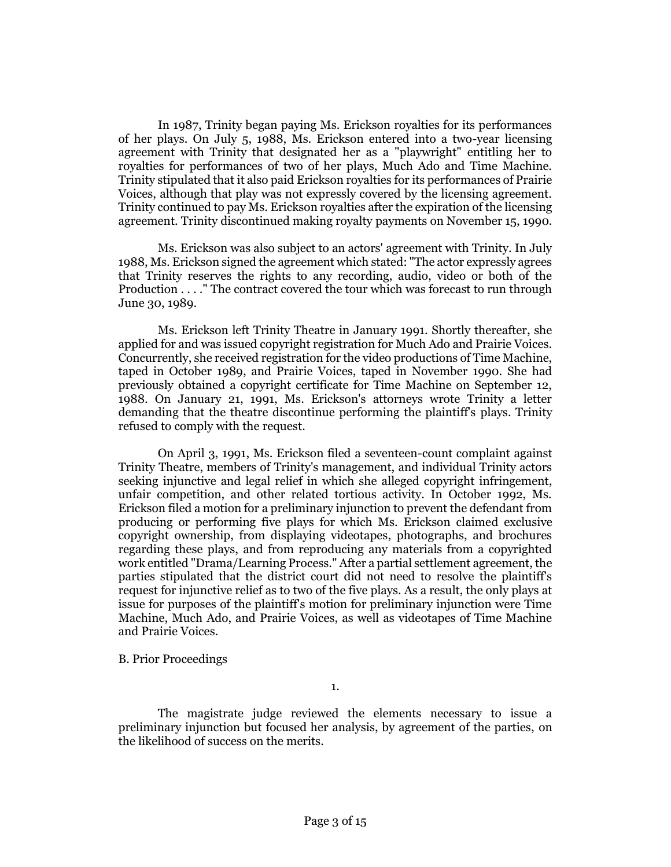In 1987, Trinity began paying Ms. Erickson royalties for its performances of her plays. On July 5, 1988, Ms. Erickson entered into a two-year licensing agreement with Trinity that designated her as a "playwright" entitling her to royalties for performances of two of her plays, Much Ado and Time Machine. Trinity stipulated that it also paid Erickson royalties for its performances of Prairie Voices, although that play was not expressly covered by the licensing agreement. Trinity continued to pay Ms. Erickson royalties after the expiration of the licensing agreement. Trinity discontinued making royalty payments on November 15, 1990.

Ms. Erickson was also subject to an actors' agreement with Trinity. In July 1988, Ms. Erickson signed the agreement which stated: "The actor expressly agrees that Trinity reserves the rights to any recording, audio, video or both of the Production . . . ." The contract covered the tour which was forecast to run through June 30, 1989.

Ms. Erickson left Trinity Theatre in January 1991. Shortly thereafter, she applied for and was issued copyright registration for Much Ado and Prairie Voices. Concurrently, she received registration for the video productions of Time Machine, taped in October 1989, and Prairie Voices, taped in November 1990. She had previously obtained a copyright certificate for Time Machine on September 12, 1988. On January 21, 1991, Ms. Erickson's attorneys wrote Trinity a letter demanding that the theatre discontinue performing the plaintiff's plays. Trinity refused to comply with the request.

On April 3, 1991, Ms. Erickson filed a seventeen-count complaint against Trinity Theatre, members of Trinity's management, and individual Trinity actors seeking injunctive and legal relief in which she alleged copyright infringement, unfair competition, and other related tortious activity. In October 1992, Ms. Erickson filed a motion for a preliminary injunction to prevent the defendant from producing or performing five plays for which Ms. Erickson claimed exclusive copyright ownership, from displaying videotapes, photographs, and brochures regarding these plays, and from reproducing any materials from a copyrighted work entitled "Drama/Learning Process." After a partial settlement agreement, the parties stipulated that the district court did not need to resolve the plaintiff's request for injunctive relief as to two of the five plays. As a result, the only plays at issue for purposes of the plaintiff's motion for preliminary injunction were Time Machine, Much Ado, and Prairie Voices, as well as videotapes of Time Machine and Prairie Voices.

B. Prior Proceedings

1.

The magistrate judge reviewed the elements necessary to issue a preliminary injunction but focused her analysis, by agreement of the parties, on the likelihood of success on the merits.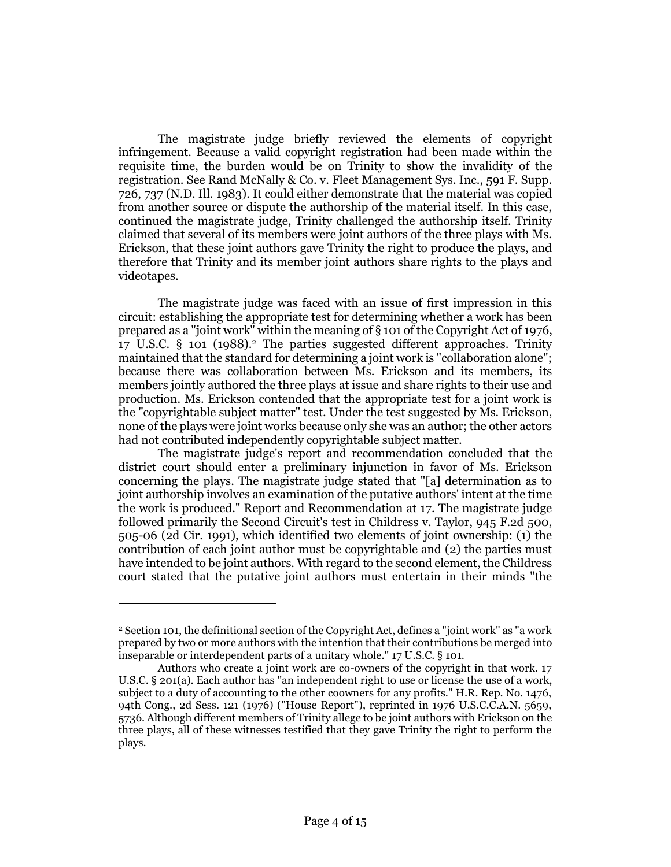The magistrate judge briefly reviewed the elements of copyright infringement. Because a valid copyright registration had been made within the requisite time, the burden would be on Trinity to show the invalidity of the registration. See Rand McNally & Co. v. Fleet Management Sys. Inc., 591 F. Supp. 726, 737 (N.D. Ill. 1983). It could either demonstrate that the material was copied from another source or dispute the authorship of the material itself. In this case, continued the magistrate judge, Trinity challenged the authorship itself. Trinity claimed that several of its members were joint authors of the three plays with Ms. Erickson, that these joint authors gave Trinity the right to produce the plays, and therefore that Trinity and its member joint authors share rights to the plays and videotapes.

The magistrate judge was faced with an issue of first impression in this circuit: establishing the appropriate test for determining whether a work has been prepared as a "joint work" within the meaning of § 101 of the Copyright Act of 1976, 17 U.S.C. § 101 (1988).<sup>2</sup> The parties suggested different approaches. Trinity maintained that the standard for determining a joint work is "collaboration alone"; because there was collaboration between Ms. Erickson and its members, its members jointly authored the three plays at issue and share rights to their use and production. Ms. Erickson contended that the appropriate test for a joint work is the "copyrightable subject matter" test. Under the test suggested by Ms. Erickson, none of the plays were joint works because only she was an author; the other actors had not contributed independently copyrightable subject matter.

The magistrate judge's report and recommendation concluded that the district court should enter a preliminary injunction in favor of Ms. Erickson concerning the plays. The magistrate judge stated that "[a] determination as to joint authorship involves an examination of the putative authors' intent at the time the work is produced." Report and Recommendation at 17. The magistrate judge followed primarily the Second Circuit's test in Childress v. Taylor, 945 F.2d 500, 505-06 (2d Cir. 1991), which identified two elements of joint ownership: (1) the contribution of each joint author must be copyrightable and (2) the parties must have intended to be joint authors. With regard to the second element, the Childress court stated that the putative joint authors must entertain in their minds "the

<sup>2</sup> Section 101, the definitional section of the Copyright Act, defines a "joint work" as "a work prepared by two or more authors with the intention that their contributions be merged into inseparable or interdependent parts of a unitary whole." 17 U.S.C. § 101.

Authors who create a joint work are co-owners of the copyright in that work. 17 U.S.C. § 201(a). Each author has "an independent right to use or license the use of a work, subject to a duty of accounting to the other coowners for any profits." H.R. Rep. No. 1476, 94th Cong., 2d Sess. 121 (1976) ("House Report"), reprinted in 1976 U.S.C.C.A.N. 5659, 5736. Although different members of Trinity allege to be joint authors with Erickson on the three plays, all of these witnesses testified that they gave Trinity the right to perform the plays.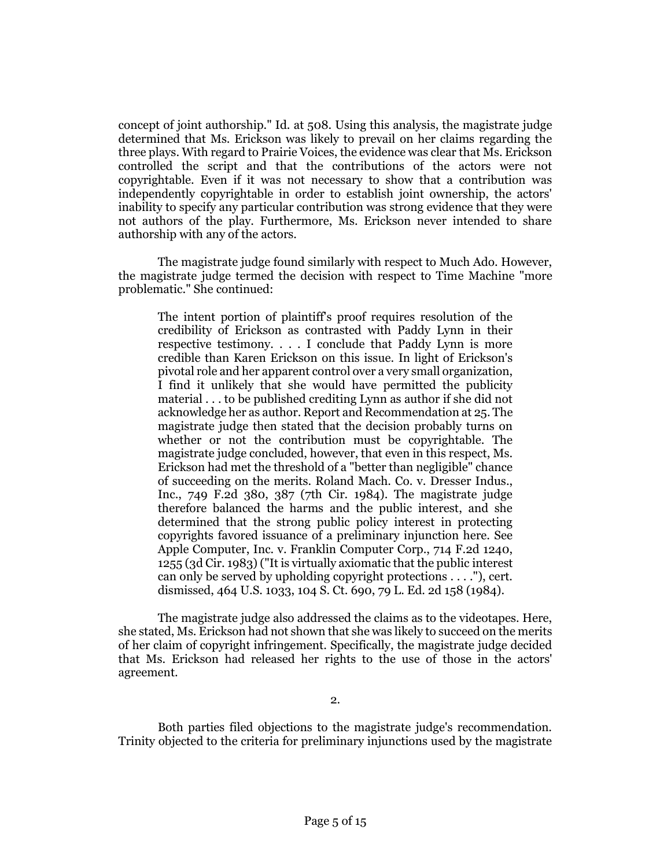concept of joint authorship." Id. at 508. Using this analysis, the magistrate judge determined that Ms. Erickson was likely to prevail on her claims regarding the three plays. With regard to Prairie Voices, the evidence was clear that Ms. Erickson controlled the script and that the contributions of the actors were not copyrightable. Even if it was not necessary to show that a contribution was independently copyrightable in order to establish joint ownership, the actors' inability to specify any particular contribution was strong evidence that they were not authors of the play. Furthermore, Ms. Erickson never intended to share authorship with any of the actors.

The magistrate judge found similarly with respect to Much Ado. However, the magistrate judge termed the decision with respect to Time Machine "more problematic." She continued:

The intent portion of plaintiff's proof requires resolution of the credibility of Erickson as contrasted with Paddy Lynn in their respective testimony. . . . I conclude that Paddy Lynn is more credible than Karen Erickson on this issue. In light of Erickson's pivotal role and her apparent control over a very small organization, I find it unlikely that she would have permitted the publicity material . . . to be published crediting Lynn as author if she did not acknowledge her as author. Report and Recommendation at 25. The magistrate judge then stated that the decision probably turns on whether or not the contribution must be copyrightable. The magistrate judge concluded, however, that even in this respect, Ms. Erickson had met the threshold of a "better than negligible" chance of succeeding on the merits. Roland Mach. Co. v. Dresser Indus., Inc., 749 F.2d 380, 387 (7th Cir. 1984). The magistrate judge therefore balanced the harms and the public interest, and she determined that the strong public policy interest in protecting copyrights favored issuance of a preliminary injunction here. See Apple Computer, Inc. v. Franklin Computer Corp., 714 F.2d 1240, 1255 (3d Cir. 1983) ("It is virtually axiomatic that the public interest can only be served by upholding copyright protections  $\dots$ ."), cert. dismissed, 464 U.S. 1033, 104 S. Ct. 690, 79 L. Ed. 2d 158 (1984).

The magistrate judge also addressed the claims as to the videotapes. Here, she stated, Ms. Erickson had not shown that she was likely to succeed on the merits of her claim of copyright infringement. Specifically, the magistrate judge decided that Ms. Erickson had released her rights to the use of those in the actors' agreement.

Both parties filed objections to the magistrate judge's recommendation. Trinity objected to the criteria for preliminary injunctions used by the magistrate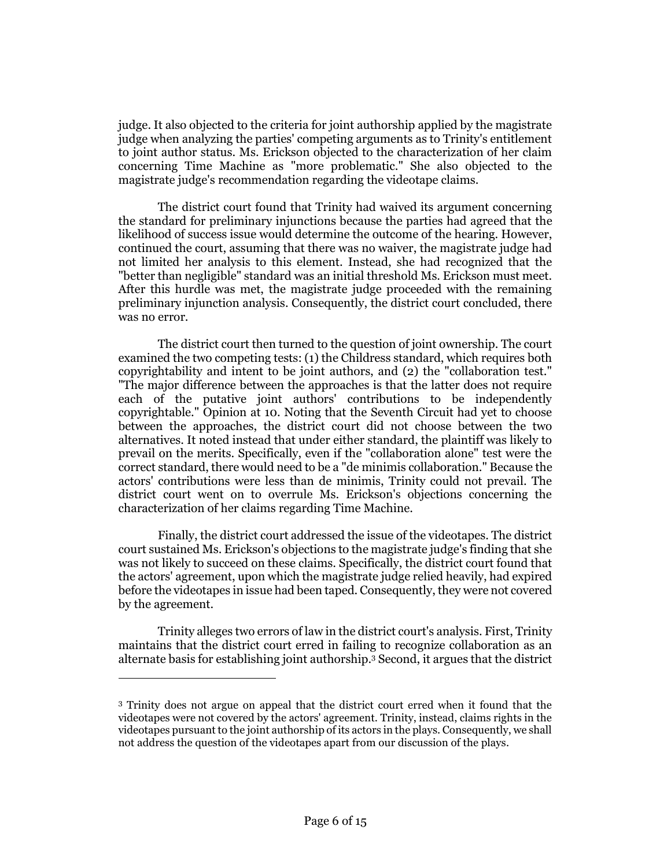judge. It also objected to the criteria for joint authorship applied by the magistrate judge when analyzing the parties' competing arguments as to Trinity's entitlement to joint author status. Ms. Erickson objected to the characterization of her claim concerning Time Machine as "more problematic." She also objected to the magistrate judge's recommendation regarding the videotape claims.

The district court found that Trinity had waived its argument concerning the standard for preliminary injunctions because the parties had agreed that the likelihood of success issue would determine the outcome of the hearing. However, continued the court, assuming that there was no waiver, the magistrate judge had not limited her analysis to this element. Instead, she had recognized that the "better than negligible" standard was an initial threshold Ms. Erickson must meet. After this hurdle was met, the magistrate judge proceeded with the remaining preliminary injunction analysis. Consequently, the district court concluded, there was no error.

The district court then turned to the question of joint ownership. The court examined the two competing tests: (1) the Childress standard, which requires both copyrightability and intent to be joint authors, and (2) the "collaboration test." "The major difference between the approaches is that the latter does not require each of the putative joint authors' contributions to be independently copyrightable." Opinion at 10. Noting that the Seventh Circuit had yet to choose between the approaches, the district court did not choose between the two alternatives. It noted instead that under either standard, the plaintiff was likely to prevail on the merits. Specifically, even if the "collaboration alone" test were the correct standard, there would need to be a "de minimis collaboration." Because the actors' contributions were less than de minimis, Trinity could not prevail. The district court went on to overrule Ms. Erickson's objections concerning the characterization of her claims regarding Time Machine.

Finally, the district court addressed the issue of the videotapes. The district court sustained Ms. Erickson's objections to the magistrate judge's finding that she was not likely to succeed on these claims. Specifically, the district court found that the actors' agreement, upon which the magistrate judge relied heavily, had expired before the videotapes in issue had been taped. Consequently, they were not covered by the agreement.

Trinity alleges two errors of law in the district court's analysis. First, Trinity maintains that the district court erred in failing to recognize collaboration as an alternate basis for establishing joint authorship.<sup>3</sup> Second, it argues that the district

<sup>3</sup> Trinity does not argue on appeal that the district court erred when it found that the videotapes were not covered by the actors' agreement. Trinity, instead, claims rights in the videotapes pursuant to the joint authorship of its actors in the plays. Consequently, we shall not address the question of the videotapes apart from our discussion of the plays.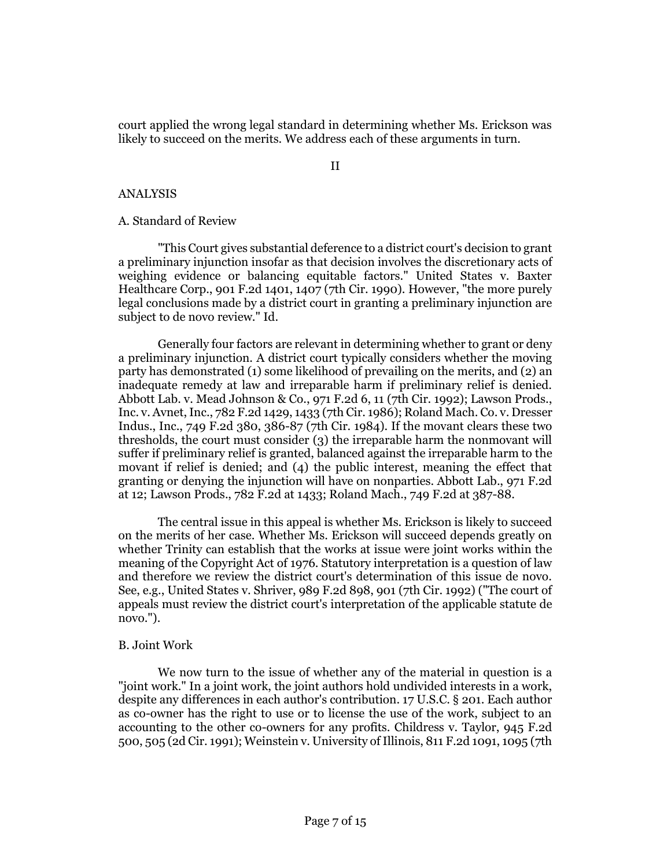court applied the wrong legal standard in determining whether Ms. Erickson was likely to succeed on the merits. We address each of these arguments in turn.

II

#### ANALYSIS

#### A. Standard of Review

"This Court gives substantial deference to a district court's decision to grant a preliminary injunction insofar as that decision involves the discretionary acts of weighing evidence or balancing equitable factors." United States v. Baxter Healthcare Corp., 901 F.2d 1401, 1407 (7th Cir. 1990). However, "the more purely legal conclusions made by a district court in granting a preliminary injunction are subject to de novo review." Id.

Generally four factors are relevant in determining whether to grant or deny a preliminary injunction. A district court typically considers whether the moving party has demonstrated (1) some likelihood of prevailing on the merits, and (2) an inadequate remedy at law and irreparable harm if preliminary relief is denied. Abbott Lab. v. Mead Johnson & Co., 971 F.2d 6, 11 (7th Cir. 1992); Lawson Prods., Inc. v. Avnet, Inc., 782 F.2d 1429, 1433 (7th Cir. 1986); Roland Mach. Co. v. Dresser Indus., Inc., 749 F.2d 380, 386-87 (7th Cir. 1984). If the movant clears these two thresholds, the court must consider (3) the irreparable harm the nonmovant will suffer if preliminary relief is granted, balanced against the irreparable harm to the movant if relief is denied; and (4) the public interest, meaning the effect that granting or denying the injunction will have on nonparties. Abbott Lab., 971 F.2d at 12; Lawson Prods., 782 F.2d at 1433; Roland Mach., 749 F.2d at 387-88.

The central issue in this appeal is whether Ms. Erickson is likely to succeed on the merits of her case. Whether Ms. Erickson will succeed depends greatly on whether Trinity can establish that the works at issue were joint works within the meaning of the Copyright Act of 1976. Statutory interpretation is a question of law and therefore we review the district court's determination of this issue de novo. See, e.g., United States v. Shriver, 989 F.2d 898, 901 (7th Cir. 1992) ("The court of appeals must review the district court's interpretation of the applicable statute de novo.").

#### B. Joint Work

We now turn to the issue of whether any of the material in question is a "joint work." In a joint work, the joint authors hold undivided interests in a work, despite any differences in each author's contribution. 17 U.S.C. § 201. Each author as co-owner has the right to use or to license the use of the work, subject to an accounting to the other co-owners for any profits. Childress v. Taylor, 945 F.2d 500, 505 (2d Cir. 1991); Weinstein v. University of Illinois, 811 F.2d 1091, 1095 (7th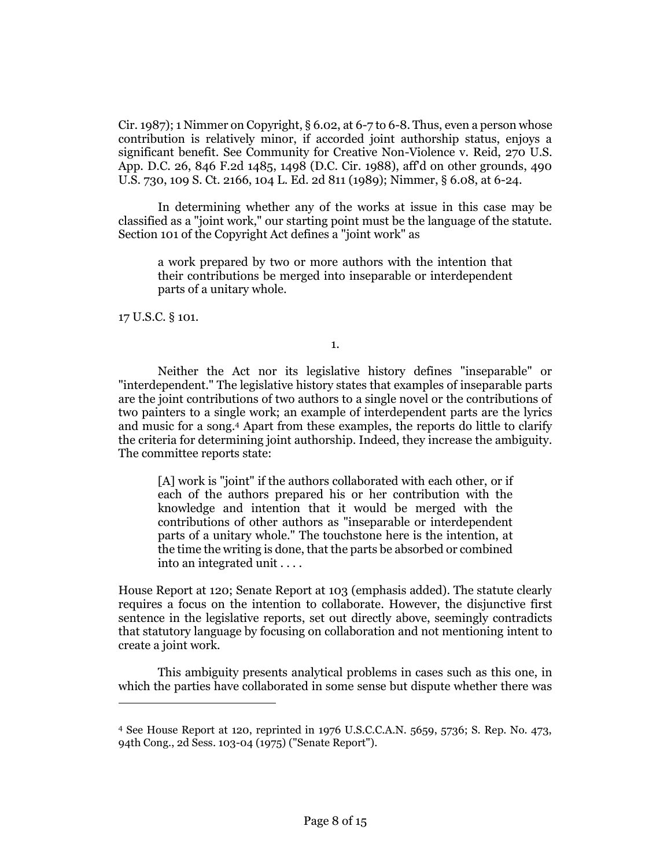Cir. 1987); 1 Nimmer on Copyright,  $\S$  6.02, at 6-7 to 6-8. Thus, even a person whose contribution is relatively minor, if accorded joint authorship status, enjoys a significant benefit. See Community for Creative Non-Violence v. Reid, 270 U.S. App. D.C. 26, 846 F.2d 1485, 1498 (D.C. Cir. 1988), aff'd on other grounds, 490 U.S. 730, 109 S. Ct. 2166, 104 L. Ed. 2d 811 (1989); Nimmer, § 6.08, at 6-24.

In determining whether any of the works at issue in this case may be classified as a "joint work," our starting point must be the language of the statute. Section 101 of the Copyright Act defines a "joint work" as

a work prepared by two or more authors with the intention that their contributions be merged into inseparable or interdependent parts of a unitary whole.

17 U.S.C. § 101.

 $\overline{a}$ 

1.

Neither the Act nor its legislative history defines "inseparable" or "interdependent." The legislative history states that examples of inseparable parts are the joint contributions of two authors to a single novel or the contributions of two painters to a single work; an example of interdependent parts are the lyrics and music for a song.<sup>4</sup> Apart from these examples, the reports do little to clarify the criteria for determining joint authorship. Indeed, they increase the ambiguity. The committee reports state:

[A] work is "joint" if the authors collaborated with each other, or if each of the authors prepared his or her contribution with the knowledge and intention that it would be merged with the contributions of other authors as "inseparable or interdependent parts of a unitary whole." The touchstone here is the intention, at the time the writing is done, that the parts be absorbed or combined into an integrated unit . . . .

House Report at 120; Senate Report at 103 (emphasis added). The statute clearly requires a focus on the intention to collaborate. However, the disjunctive first sentence in the legislative reports, set out directly above, seemingly contradicts that statutory language by focusing on collaboration and not mentioning intent to create a joint work.

This ambiguity presents analytical problems in cases such as this one, in which the parties have collaborated in some sense but dispute whether there was

<sup>4</sup> See House Report at 120, reprinted in 1976 U.S.C.C.A.N. 5659, 5736; S. Rep. No. 473, 94th Cong., 2d Sess. 103-04 (1975) ("Senate Report").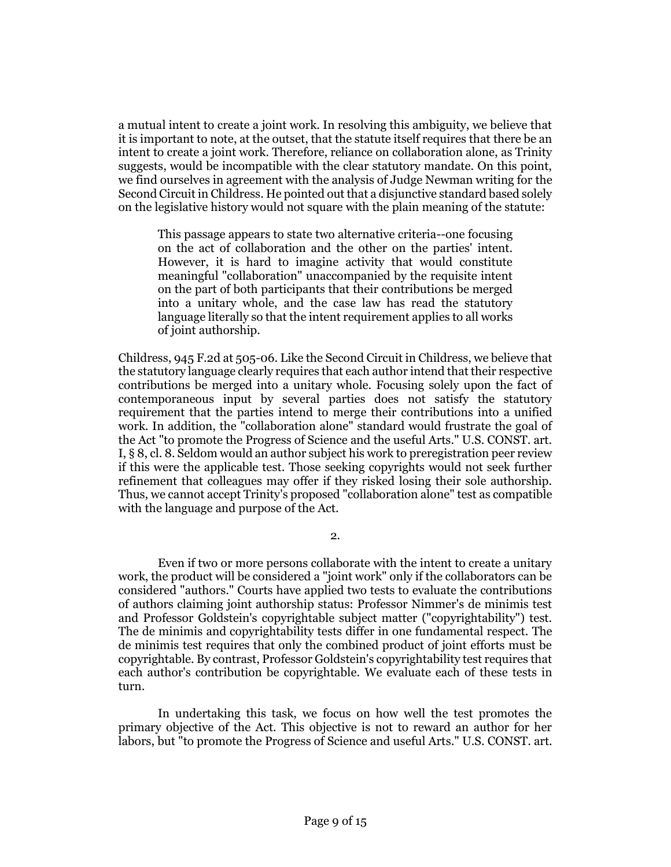a mutual intent to create a joint work. In resolving this ambiguity, we believe that it is important to note, at the outset, that the statute itself requires that there be an intent to create a joint work. Therefore, reliance on collaboration alone, as Trinity suggests, would be incompatible with the clear statutory mandate. On this point, we find ourselves in agreement with the analysis of Judge Newman writing for the Second Circuit in Childress. He pointed out that a disjunctive standard based solely on the legislative history would not square with the plain meaning of the statute:

This passage appears to state two alternative criteria--one focusing on the act of collaboration and the other on the parties' intent. However, it is hard to imagine activity that would constitute meaningful "collaboration" unaccompanied by the requisite intent on the part of both participants that their contributions be merged into a unitary whole, and the case law has read the statutory language literally so that the intent requirement applies to all works of joint authorship.

Childress, 945 F.2d at 505-06. Like the Second Circuit in Childress, we believe that the statutory language clearly requires that each author intend that their respective contributions be merged into a unitary whole. Focusing solely upon the fact of contemporaneous input by several parties does not satisfy the statutory requirement that the parties intend to merge their contributions into a unified work. In addition, the "collaboration alone" standard would frustrate the goal of the Act "to promote the Progress of Science and the useful Arts." U.S. CONST. art. I, § 8, cl. 8. Seldom would an author subject his work to preregistration peer review if this were the applicable test. Those seeking copyrights would not seek further refinement that colleagues may offer if they risked losing their sole authorship. Thus, we cannot accept Trinity's proposed "collaboration alone" test as compatible with the language and purpose of the Act.

2.

Even if two or more persons collaborate with the intent to create a unitary work, the product will be considered a "joint work" only if the collaborators can be considered "authors." Courts have applied two tests to evaluate the contributions of authors claiming joint authorship status: Professor Nimmer's de minimis test and Professor Goldstein's copyrightable subject matter ("copyrightability") test. The de minimis and copyrightability tests differ in one fundamental respect. The de minimis test requires that only the combined product of joint efforts must be copyrightable. By contrast, Professor Goldstein's copyrightability test requires that each author's contribution be copyrightable. We evaluate each of these tests in turn.

In undertaking this task, we focus on how well the test promotes the primary objective of the Act. This objective is not to reward an author for her labors, but "to promote the Progress of Science and useful Arts." U.S. CONST. art.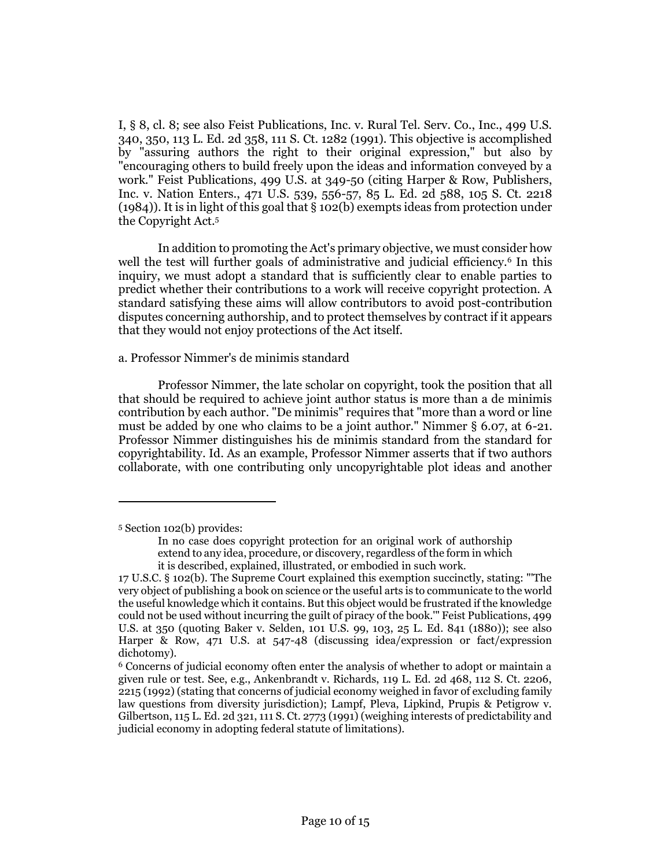I, § 8, cl. 8; see also Feist Publications, Inc. v. Rural Tel. Serv. Co., Inc., 499 U.S. 340, 350, 113 L. Ed. 2d 358, 111 S. Ct. 1282 (1991). This objective is accomplished by "assuring authors the right to their original expression," but also by "encouraging others to build freely upon the ideas and information conveyed by a work." Feist Publications, 499 U.S. at 349-50 (citing Harper & Row, Publishers, Inc. v. Nation Enters., 471 U.S. 539, 556-57, 85 L. Ed. 2d 588, 105 S. Ct. 2218 (1984)). It is in light of this goal that § 102(b) exempts ideas from protection under the Copyright Act.<sup>5</sup>

In addition to promoting the Act's primary objective, we must consider how well the test will further goals of administrative and judicial efficiency.<sup>6</sup> In this inquiry, we must adopt a standard that is sufficiently clear to enable parties to predict whether their contributions to a work will receive copyright protection. A standard satisfying these aims will allow contributors to avoid post-contribution disputes concerning authorship, and to protect themselves by contract if it appears that they would not enjoy protections of the Act itself.

#### a. Professor Nimmer's de minimis standard

Professor Nimmer, the late scholar on copyright, took the position that all that should be required to achieve joint author status is more than a de minimis contribution by each author. "De minimis" requires that "more than a word or line must be added by one who claims to be a joint author." Nimmer § 6.07, at 6-21. Professor Nimmer distinguishes his de minimis standard from the standard for copyrightability. Id. As an example, Professor Nimmer asserts that if two authors collaborate, with one contributing only uncopyrightable plot ideas and another

<sup>5</sup> Section 102(b) provides:

In no case does copyright protection for an original work of authorship extend to any idea, procedure, or discovery, regardless of the form in which it is described, explained, illustrated, or embodied in such work.

<sup>17</sup> U.S.C. § 102(b). The Supreme Court explained this exemption succinctly, stating: "'The very object of publishing a book on science or the useful arts is to communicate to the world the useful knowledge which it contains. But this object would be frustrated if the knowledge could not be used without incurring the guilt of piracy of the book.'" Feist Publications, 499 U.S. at 350 (quoting Baker v. Selden, 101 U.S. 99, 103, 25 L. Ed. 841 (1880)); see also Harper & Row, 471 U.S. at 547-48 (discussing idea/expression or fact/expression dichotomy).

<sup>6</sup> Concerns of judicial economy often enter the analysis of whether to adopt or maintain a given rule or test. See, e.g., Ankenbrandt v. Richards, 119 L. Ed. 2d 468, 112 S. Ct. 2206, 2215 (1992) (stating that concerns of judicial economy weighed in favor of excluding family law questions from diversity jurisdiction); Lampf, Pleva, Lipkind, Prupis & Petigrow v. Gilbertson, 115 L. Ed. 2d 321, 111 S. Ct. 2773 (1991) (weighing interests of predictability and judicial economy in adopting federal statute of limitations).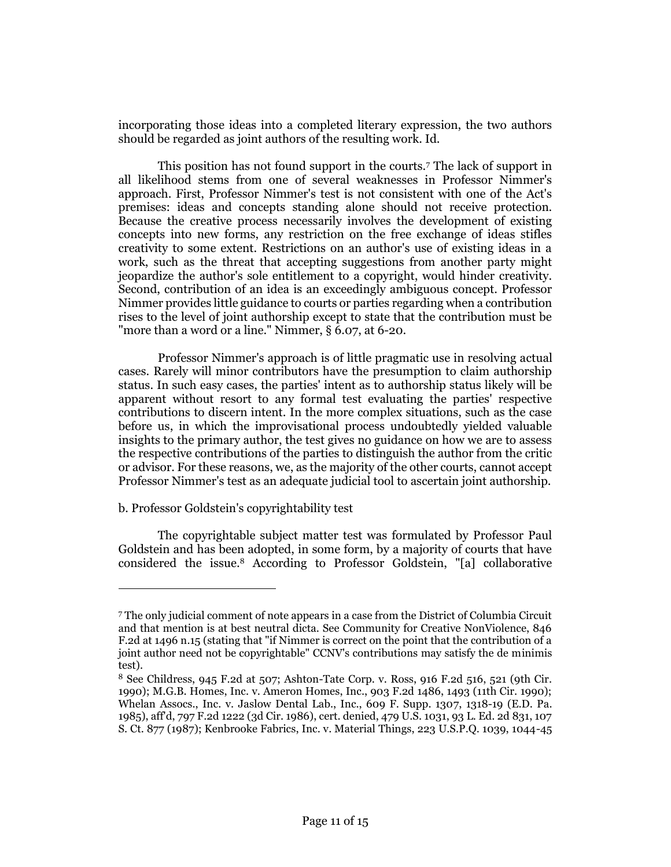incorporating those ideas into a completed literary expression, the two authors should be regarded as joint authors of the resulting work. Id.

This position has not found support in the courts.<sup>7</sup> The lack of support in all likelihood stems from one of several weaknesses in Professor Nimmer's approach. First, Professor Nimmer's test is not consistent with one of the Act's premises: ideas and concepts standing alone should not receive protection. Because the creative process necessarily involves the development of existing concepts into new forms, any restriction on the free exchange of ideas stifles creativity to some extent. Restrictions on an author's use of existing ideas in a work, such as the threat that accepting suggestions from another party might jeopardize the author's sole entitlement to a copyright, would hinder creativity. Second, contribution of an idea is an exceedingly ambiguous concept. Professor Nimmer provides little guidance to courts or parties regarding when a contribution rises to the level of joint authorship except to state that the contribution must be "more than a word or a line." Nimmer, § 6.07, at 6-20.

Professor Nimmer's approach is of little pragmatic use in resolving actual cases. Rarely will minor contributors have the presumption to claim authorship status. In such easy cases, the parties' intent as to authorship status likely will be apparent without resort to any formal test evaluating the parties' respective contributions to discern intent. In the more complex situations, such as the case before us, in which the improvisational process undoubtedly yielded valuable insights to the primary author, the test gives no guidance on how we are to assess the respective contributions of the parties to distinguish the author from the critic or advisor. For these reasons, we, as the majority of the other courts, cannot accept Professor Nimmer's test as an adequate judicial tool to ascertain joint authorship.

## b. Professor Goldstein's copyrightability test

 $\overline{a}$ 

The copyrightable subject matter test was formulated by Professor Paul Goldstein and has been adopted, in some form, by a majority of courts that have considered the issue.<sup>8</sup> According to Professor Goldstein, "[a] collaborative

<sup>7</sup> The only judicial comment of note appears in a case from the District of Columbia Circuit and that mention is at best neutral dicta. See Community for Creative NonViolence, 846 F.2d at 1496 n.15 (stating that "if Nimmer is correct on the point that the contribution of a joint author need not be copyrightable" CCNV's contributions may satisfy the de minimis test).

<sup>&</sup>lt;sup>8</sup> See Childress, 945 F.2d at 507; Ashton-Tate Corp. v. Ross, 916 F.2d 516, 521 (9th Cir. 1990); M.G.B. Homes, Inc. v. Ameron Homes, Inc., 903 F.2d 1486, 1493 (11th Cir. 1990); Whelan Assocs., Inc. v. Jaslow Dental Lab., Inc., 609 F. Supp. 1307, 1318-19 (E.D. Pa. 1985), aff'd, 797 F.2d 1222 (3d Cir. 1986), cert. denied, 479 U.S. 1031, 93 L. Ed. 2d 831, 107 S. Ct. 877 (1987); Kenbrooke Fabrics, Inc. v. Material Things, 223 U.S.P.Q. 1039, 1044-45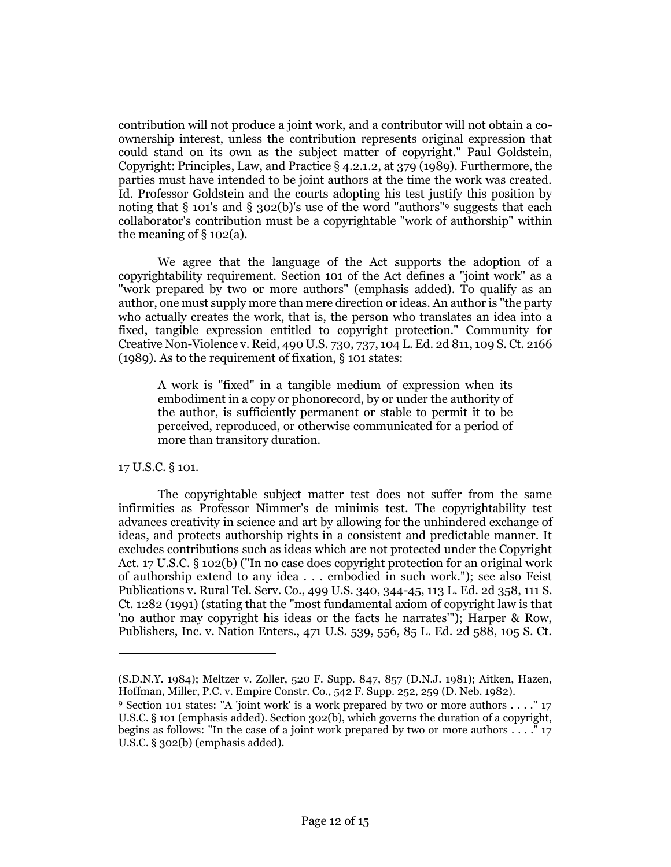contribution will not produce a joint work, and a contributor will not obtain a coownership interest, unless the contribution represents original expression that could stand on its own as the subject matter of copyright." Paul Goldstein, Copyright: Principles, Law, and Practice § 4.2.1.2, at 379 (1989). Furthermore, the parties must have intended to be joint authors at the time the work was created. Id. Professor Goldstein and the courts adopting his test justify this position by noting that § 101's and § 302(b)'s use of the word "authors"<sup>9</sup> suggests that each collaborator's contribution must be a copyrightable "work of authorship" within the meaning of  $\S$  102(a).

We agree that the language of the Act supports the adoption of a copyrightability requirement. Section 101 of the Act defines a "joint work" as a "work prepared by two or more authors" (emphasis added). To qualify as an author, one must supply more than mere direction or ideas. An author is "the party who actually creates the work, that is, the person who translates an idea into a fixed, tangible expression entitled to copyright protection." Community for Creative Non-Violence v. Reid, 490 U.S. 730, 737, 104 L. Ed. 2d 811, 109 S. Ct. 2166 (1989). As to the requirement of fixation, § 101 states:

A work is "fixed" in a tangible medium of expression when its embodiment in a copy or phonorecord, by or under the authority of the author, is sufficiently permanent or stable to permit it to be perceived, reproduced, or otherwise communicated for a period of more than transitory duration.

# 17 U.S.C. § 101.

 $\overline{a}$ 

The copyrightable subject matter test does not suffer from the same infirmities as Professor Nimmer's de minimis test. The copyrightability test advances creativity in science and art by allowing for the unhindered exchange of ideas, and protects authorship rights in a consistent and predictable manner. It excludes contributions such as ideas which are not protected under the Copyright Act. 17 U.S.C. § 102(b) ("In no case does copyright protection for an original work of authorship extend to any idea . . . embodied in such work."); see also Feist Publications v. Rural Tel. Serv. Co., 499 U.S. 340, 344-45, 113 L. Ed. 2d 358, 111 S. Ct. 1282 (1991) (stating that the "most fundamental axiom of copyright law is that 'no author may copyright his ideas or the facts he narrates'"); Harper & Row, Publishers, Inc. v. Nation Enters., 471 U.S. 539, 556, 85 L. Ed. 2d 588, 105 S. Ct.

<sup>(</sup>S.D.N.Y. 1984); Meltzer v. Zoller, 520 F. Supp. 847, 857 (D.N.J. 1981); Aitken, Hazen, Hoffman, Miller, P.C. v. Empire Constr. Co., 542 F. Supp. 252, 259 (D. Neb. 1982).

<sup>9</sup> Section 101 states: "A 'joint work' is a work prepared by two or more authors . . . ." 17 U.S.C. § 101 (emphasis added). Section 302(b), which governs the duration of a copyright, begins as follows: "In the case of a joint work prepared by two or more authors  $\dots$ ." 17 U.S.C. § 302(b) (emphasis added).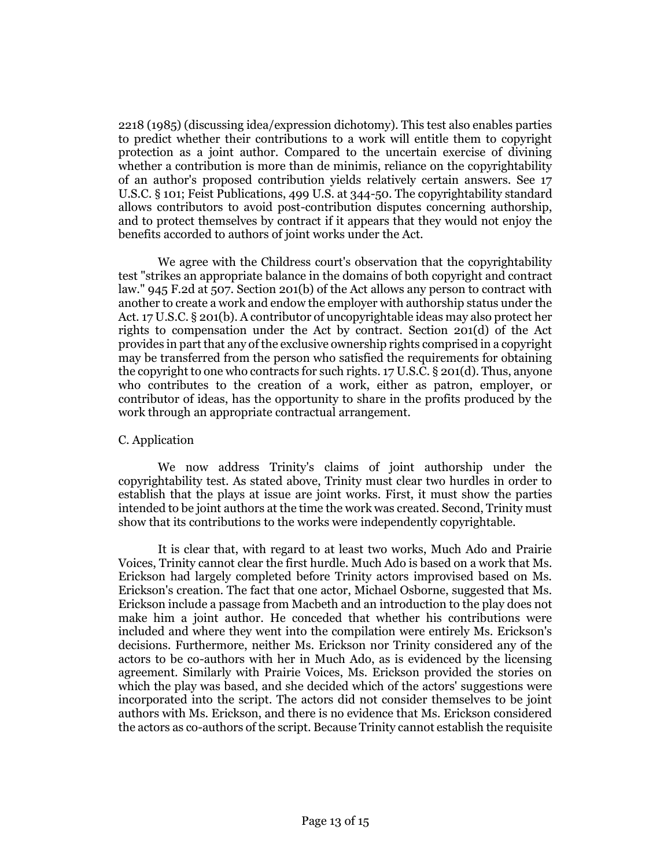2218 (1985) (discussing idea/expression dichotomy). This test also enables parties to predict whether their contributions to a work will entitle them to copyright protection as a joint author. Compared to the uncertain exercise of divining whether a contribution is more than de minimis, reliance on the copyrightability of an author's proposed contribution yields relatively certain answers. See 17 U.S.C. § 101; Feist Publications, 499 U.S. at 344-50. The copyrightability standard allows contributors to avoid post-contribution disputes concerning authorship, and to protect themselves by contract if it appears that they would not enjoy the benefits accorded to authors of joint works under the Act.

We agree with the Childress court's observation that the copyrightability test "strikes an appropriate balance in the domains of both copyright and contract law." 945 F.2d at 507. Section 201(b) of the Act allows any person to contract with another to create a work and endow the employer with authorship status under the Act. 17 U.S.C. § 201(b). A contributor of uncopyrightable ideas may also protect her rights to compensation under the Act by contract. Section 201(d) of the Act provides in part that any of the exclusive ownership rights comprised in a copyright may be transferred from the person who satisfied the requirements for obtaining the copyright to one who contracts for such rights. 17 U.S.C. § 201(d). Thus, anyone who contributes to the creation of a work, either as patron, employer, or contributor of ideas, has the opportunity to share in the profits produced by the work through an appropriate contractual arrangement.

## C. Application

We now address Trinity's claims of joint authorship under the copyrightability test. As stated above, Trinity must clear two hurdles in order to establish that the plays at issue are joint works. First, it must show the parties intended to be joint authors at the time the work was created. Second, Trinity must show that its contributions to the works were independently copyrightable.

It is clear that, with regard to at least two works, Much Ado and Prairie Voices, Trinity cannot clear the first hurdle. Much Ado is based on a work that Ms. Erickson had largely completed before Trinity actors improvised based on Ms. Erickson's creation. The fact that one actor, Michael Osborne, suggested that Ms. Erickson include a passage from Macbeth and an introduction to the play does not make him a joint author. He conceded that whether his contributions were included and where they went into the compilation were entirely Ms. Erickson's decisions. Furthermore, neither Ms. Erickson nor Trinity considered any of the actors to be co-authors with her in Much Ado, as is evidenced by the licensing agreement. Similarly with Prairie Voices, Ms. Erickson provided the stories on which the play was based, and she decided which of the actors' suggestions were incorporated into the script. The actors did not consider themselves to be joint authors with Ms. Erickson, and there is no evidence that Ms. Erickson considered the actors as co-authors of the script. Because Trinity cannot establish the requisite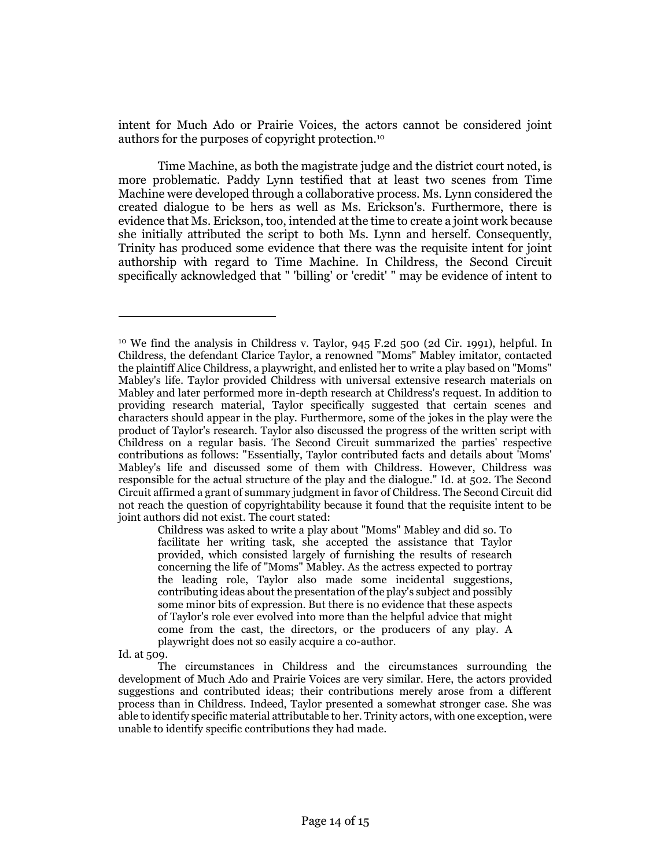intent for Much Ado or Prairie Voices, the actors cannot be considered joint authors for the purposes of copyright protection.<sup>10</sup>

Time Machine, as both the magistrate judge and the district court noted, is more problematic. Paddy Lynn testified that at least two scenes from Time Machine were developed through a collaborative process. Ms. Lynn considered the created dialogue to be hers as well as Ms. Erickson's. Furthermore, there is evidence that Ms. Erickson, too, intended at the time to create a joint work because she initially attributed the script to both Ms. Lynn and herself. Consequently, Trinity has produced some evidence that there was the requisite intent for joint authorship with regard to Time Machine. In Childress, the Second Circuit specifically acknowledged that " 'billing' or 'credit' " may be evidence of intent to

Childress was asked to write a play about "Moms" Mabley and did so. To facilitate her writing task, she accepted the assistance that Taylor provided, which consisted largely of furnishing the results of research concerning the life of "Moms" Mabley. As the actress expected to portray the leading role, Taylor also made some incidental suggestions, contributing ideas about the presentation of the play's subject and possibly some minor bits of expression. But there is no evidence that these aspects of Taylor's role ever evolved into more than the helpful advice that might come from the cast, the directors, or the producers of any play. A playwright does not so easily acquire a co-author.

Id. at 509.

<sup>10</sup> We find the analysis in Childress v. Taylor, 945 F.2d 500 (2d Cir. 1991), helpful. In Childress, the defendant Clarice Taylor, a renowned "Moms" Mabley imitator, contacted the plaintiff Alice Childress, a playwright, and enlisted her to write a play based on "Moms" Mabley's life. Taylor provided Childress with universal extensive research materials on Mabley and later performed more in-depth research at Childress's request. In addition to providing research material, Taylor specifically suggested that certain scenes and characters should appear in the play. Furthermore, some of the jokes in the play were the product of Taylor's research. Taylor also discussed the progress of the written script with Childress on a regular basis. The Second Circuit summarized the parties' respective contributions as follows: "Essentially, Taylor contributed facts and details about 'Moms' Mabley's life and discussed some of them with Childress. However, Childress was responsible for the actual structure of the play and the dialogue." Id. at 502. The Second Circuit affirmed a grant of summary judgment in favor of Childress. The Second Circuit did not reach the question of copyrightability because it found that the requisite intent to be joint authors did not exist. The court stated:

The circumstances in Childress and the circumstances surrounding the development of Much Ado and Prairie Voices are very similar. Here, the actors provided suggestions and contributed ideas; their contributions merely arose from a different process than in Childress. Indeed, Taylor presented a somewhat stronger case. She was able to identify specific material attributable to her. Trinity actors, with one exception, were unable to identify specific contributions they had made.